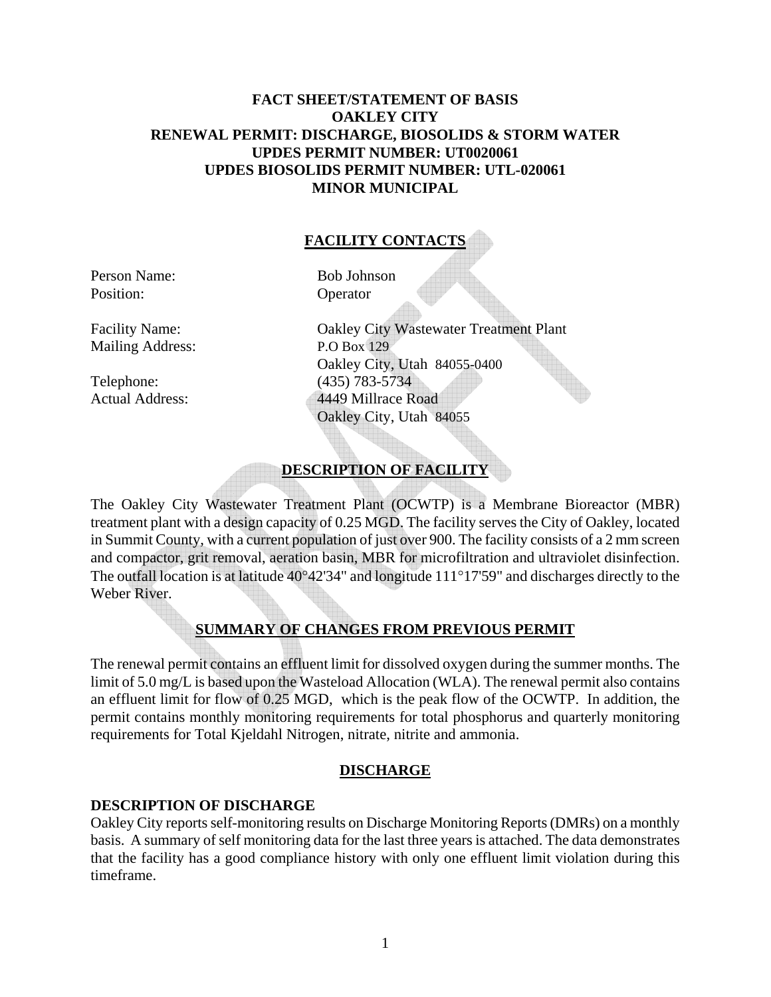## **FACT SHEET/STATEMENT OF BASIS OAKLEY CITY RENEWAL PERMIT: DISCHARGE, BIOSOLIDS & STORM WATER UPDES PERMIT NUMBER: UT0020061 UPDES BIOSOLIDS PERMIT NUMBER: UTL-020061 MINOR MUNICIPAL**

## **FACILITY CONTACTS**

Person Name: Bob Johnson Position: Operator

Mailing Address: P.O Box 129

Facility Name: Oakley City Wastewater Treatment Plant Oakley City, Utah 84055-0400 Telephone: (435) 783-5734 Actual Address: 4449 Millrace Road Oakley City, Utah 84055

## **DESCRIPTION OF FACILITY**

The Oakley City Wastewater Treatment Plant (OCWTP) is a Membrane Bioreactor (MBR) treatment plant with a design capacity of 0.25 MGD. The facility serves the City of Oakley, located in Summit County, with a current population of just over 900. The facility consists of a 2 mm screen and compactor, grit removal, aeration basin, MBR for microfiltration and ultraviolet disinfection. The outfall location is at latitude 40°42'34" and longitude 111°17'59" and discharges directly to the Weber River.

## **SUMMARY OF CHANGES FROM PREVIOUS PERMIT**

The renewal permit contains an effluent limit for dissolved oxygen during the summer months. The limit of 5.0 mg/L is based upon the Wasteload Allocation (WLA). The renewal permit also contains an effluent limit for flow of 0.25 MGD, which is the peak flow of the OCWTP. In addition, the permit contains monthly monitoring requirements for total phosphorus and quarterly monitoring requirements for Total Kjeldahl Nitrogen, nitrate, nitrite and ammonia.

#### **DISCHARGE**

#### **DESCRIPTION OF DISCHARGE**

Oakley City reports self-monitoring results on Discharge Monitoring Reports (DMRs) on a monthly basis. A summary of self monitoring data for the last three years is attached. The data demonstrates that the facility has a good compliance history with only one effluent limit violation during this timeframe.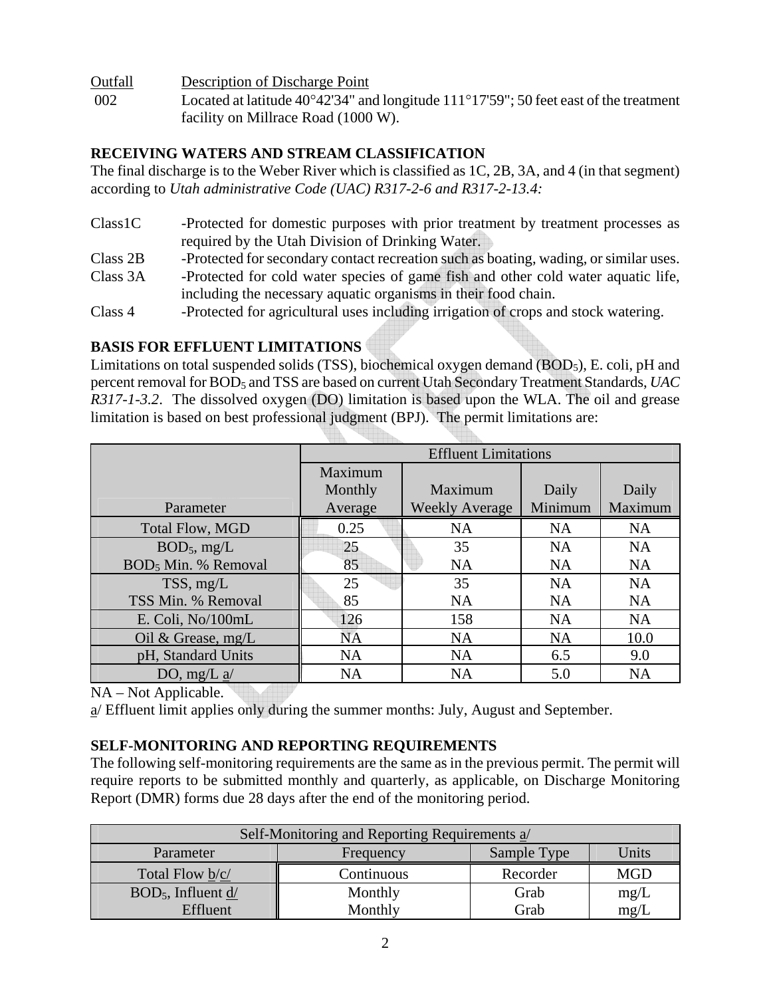Outfall Description of Discharge Point

 002 Located at latitude 40°42'34" and longitude 111°17'59"; 50 feet east of the treatment facility on Millrace Road (1000 W).

## **RECEIVING WATERS AND STREAM CLASSIFICATION**

The final discharge is to the Weber River which is classified as 1C, 2B, 3A, and 4 (in that segment) according to *Utah administrative Code (UAC) R317-2-6 and R317-2-13.4:*

- Class1C -Protected for domestic purposes with prior treatment by treatment processes as required by the Utah Division of Drinking Water.
- Class 2B -Protected for secondary contact recreation such as boating, wading, or similar uses.
- Class 3A -Protected for cold water species of game fish and other cold water aquatic life, including the necessary aquatic organisms in their food chain.
- Class 4 -Protected for agricultural uses including irrigation of crops and stock watering.

# **BASIS FOR EFFLUENT LIMITATIONS**

Limitations on total suspended solids (TSS), biochemical oxygen demand (BOD<sub>5</sub>), E. coli, pH and percent removal for BOD5 and TSS are based on current Utah Secondary Treatment Standards, *UAC R317-1-3.2*. The dissolved oxygen (DO) limitation is based upon the WLA. The oil and grease limitation is based on best professional judgment (BPJ). The permit limitations are:

|                                 | <b>Effluent Limitations</b> |                       |           |           |
|---------------------------------|-----------------------------|-----------------------|-----------|-----------|
|                                 | Maximum                     |                       |           |           |
|                                 | Monthly                     | Maximum               | Daily     | Daily     |
| Parameter                       | Average                     | <b>Weekly Average</b> | Minimum   | Maximum   |
| <b>Total Flow, MGD</b>          | 0.25                        | <b>NA</b>             | <b>NA</b> | <b>NA</b> |
| $BOD_5$ , mg/L                  | 25                          | 35                    | <b>NA</b> | <b>NA</b> |
| BOD <sub>5</sub> Min. % Removal | 85                          | <b>NA</b>             | <b>NA</b> | <b>NA</b> |
| TSS, mg/L                       | 25                          | 35                    | <b>NA</b> | <b>NA</b> |
| TSS Min. % Removal              | 85                          | <b>NA</b>             | <b>NA</b> | <b>NA</b> |
| E. Coli, No/100mL               | 126                         | 158                   | <b>NA</b> | <b>NA</b> |
| Oil & Grease, $mg/L$            | <b>NA</b>                   | <b>NA</b>             | <b>NA</b> | 10.0      |
| pH, Standard Units              | <b>NA</b>                   | <b>NA</b>             | 6.5       | 9.0       |
| DO, mg/L $\underline{a}$ /      | <b>NA</b>                   | <b>NA</b>             | 5.0       | <b>NA</b> |

NA – Not Applicable.

a/ Effluent limit applies only during the summer months: July, August and September.

# **SELF-MONITORING AND REPORTING REQUIREMENTS**

The following self-monitoring requirements are the same as in the previous permit. The permit will require reports to be submitted monthly and quarterly, as applicable, on Discharge Monitoring Report (DMR) forms due 28 days after the end of the monitoring period.

| Self-Monitoring and Reporting Requirements $a$ |                          |          |            |  |
|------------------------------------------------|--------------------------|----------|------------|--|
| Parameter                                      | Sample Type<br>Frequency |          | Units      |  |
| Total Flow b/c/                                | Continuous               | Recorder | <b>MGD</b> |  |
| $BOD5$ , Influent d/                           | Monthly                  | Grab     | mg/L       |  |
| Effluent                                       | Monthly                  | Grab     | mg/L       |  |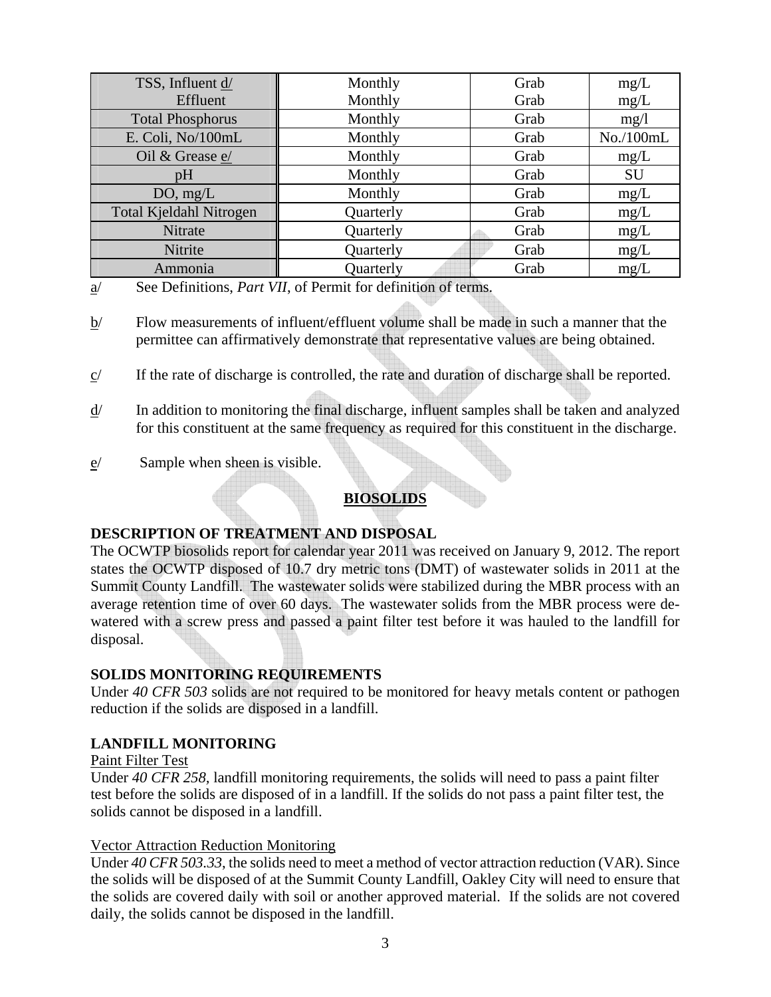| TSS, Influent d/        | Monthly<br>Grab |      | mg/L      |
|-------------------------|-----------------|------|-----------|
| Effluent                | Monthly         | Grab | mg/L      |
| <b>Total Phosphorus</b> | Monthly         | Grab | mg/1      |
| E. Coli, No/100mL       | Monthly         | Grab | No./100mL |
| Oil & Grease e/         | Monthly         | Grab | mg/L      |
| pH                      | Monthly         | Grab | <b>SU</b> |
| DO, mg/L                | Monthly         | Grab | mg/L      |
| Total Kjeldahl Nitrogen | Quarterly       | Grab | mg/L      |
| Nitrate                 | Quarterly       | Grab | mg/L      |
| Nitrite                 | Quarterly       | Grab | mg/L      |
| Ammonia                 | Quarterly       | Grab | mg/L      |

- a/ See Definitions, *Part VII*, of Permit for definition of terms.
- b/ Flow measurements of influent/effluent volume shall be made in such a manner that the permittee can affirmatively demonstrate that representative values are being obtained.
- $c$  If the rate of discharge is controlled, the rate and duration of discharge shall be reported.
- d/ In addition to monitoring the final discharge, influent samples shall be taken and analyzed for this constituent at the same frequency as required for this constituent in the discharge.
- e/ Sample when sheen is visible.

**BIOSOLIDS** 

## **DESCRIPTION OF TREATMENT AND DISPOSAL**

The OCWTP biosolids report for calendar year 2011 was received on January 9, 2012. The report states the OCWTP disposed of 10.7 dry metric tons (DMT) of wastewater solids in 2011 at the Summit County Landfill. The wastewater solids were stabilized during the MBR process with an average retention time of over 60 days. The wastewater solids from the MBR process were dewatered with a screw press and passed a paint filter test before it was hauled to the landfill for disposal.

## **SOLIDS MONITORING REQUIREMENTS**

Under *40 CFR 503* solids are not required to be monitored for heavy metals content or pathogen reduction if the solids are disposed in a landfill.

## **LANDFILL MONITORING**

#### Paint Filter Test

Under *40 CFR 258,* landfill monitoring requirements, the solids will need to pass a paint filter test before the solids are disposed of in a landfill. If the solids do not pass a paint filter test, the solids cannot be disposed in a landfill.

#### Vector Attraction Reduction Monitoring

Under *40 CFR 503.33*, the solids need to meet a method of vector attraction reduction (VAR). Since the solids will be disposed of at the Summit County Landfill, Oakley City will need to ensure that the solids are covered daily with soil or another approved material. If the solids are not covered daily, the solids cannot be disposed in the landfill.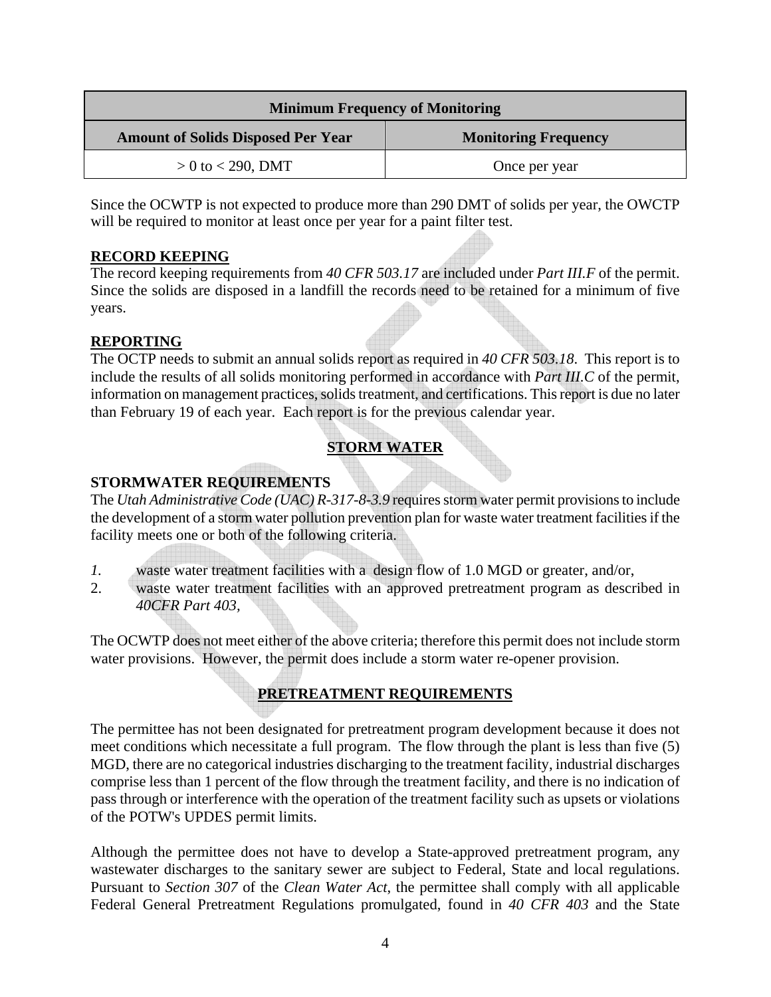| <b>Minimum Frequency of Monitoring</b>    |                             |  |  |
|-------------------------------------------|-----------------------------|--|--|
| <b>Amount of Solids Disposed Per Year</b> | <b>Monitoring Frequency</b> |  |  |
| $> 0$ to < 290, DMT                       | Once per year               |  |  |

Since the OCWTP is not expected to produce more than 290 DMT of solids per year, the OWCTP will be required to monitor at least once per year for a paint filter test.

## **RECORD KEEPING**

The record keeping requirements from *40 CFR 503.17* are included under *Part III.F* of the permit. Since the solids are disposed in a landfill the records need to be retained for a minimum of five years.

## **REPORTING**

The OCTP needs to submit an annual solids report as required in *40 CFR 503.18*. This report is to include the results of all solids monitoring performed in accordance with *Part III.C* of the permit, information on management practices, solids treatment, and certifications. This report is due no later than February 19 of each year. Each report is for the previous calendar year.

# **STORM WATER**

# **STORMWATER REQUIREMENTS**

The *Utah Administrative Code (UAC) R-317-8-3.9* requires storm water permit provisions to include the development of a storm water pollution prevention plan for waste water treatment facilities if the facility meets one or both of the following criteria.

- *1.* waste water treatment facilities with a design flow of 1.0 MGD or greater, and/or,
- 2. waste water treatment facilities with an approved pretreatment program as described in *40CFR Part 403,*

The OCWTP does not meet either of the above criteria; therefore this permit does not include storm water provisions. However, the permit does include a storm water re-opener provision.

# **PRETREATMENT REQUIREMENTS**

The permittee has not been designated for pretreatment program development because it does not meet conditions which necessitate a full program. The flow through the plant is less than five (5) MGD, there are no categorical industries discharging to the treatment facility, industrial discharges comprise less than 1 percent of the flow through the treatment facility, and there is no indication of pass through or interference with the operation of the treatment facility such as upsets or violations of the POTW's UPDES permit limits.

Although the permittee does not have to develop a State-approved pretreatment program, any wastewater discharges to the sanitary sewer are subject to Federal, State and local regulations. Pursuant to *Section 307* of the *Clean Water Act*, the permittee shall comply with all applicable Federal General Pretreatment Regulations promulgated, found in *40 CFR 403* and the State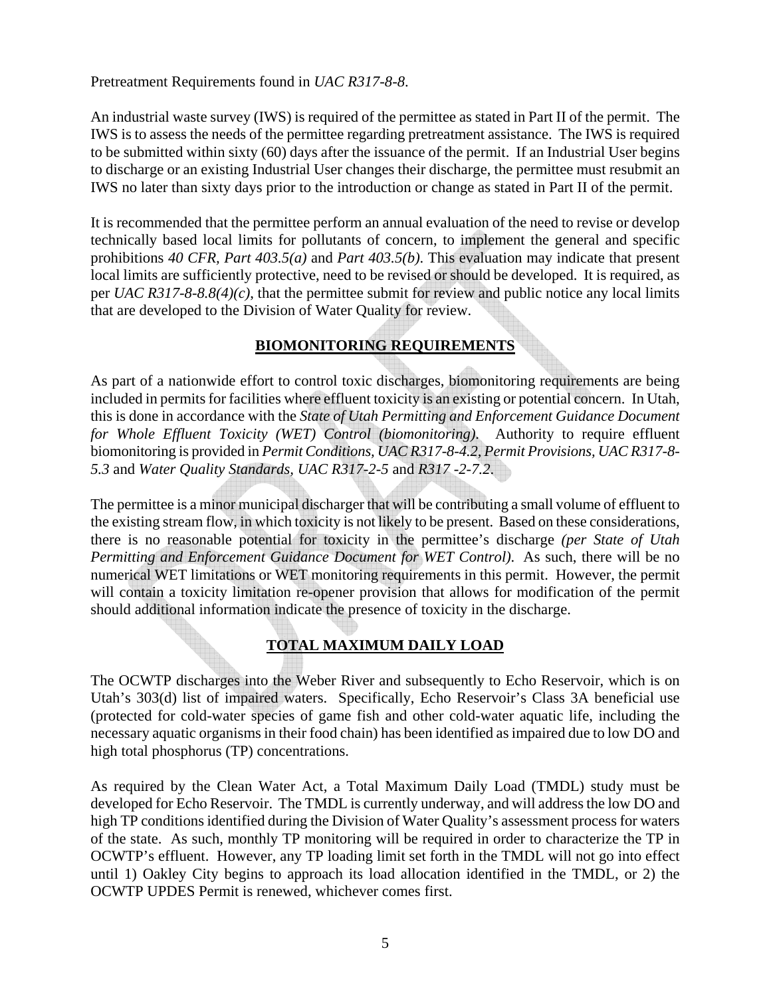Pretreatment Requirements found in *UAC R317-8-8*.

An industrial waste survey (IWS) is required of the permittee as stated in Part II of the permit. The IWS is to assess the needs of the permittee regarding pretreatment assistance. The IWS is required to be submitted within sixty (60) days after the issuance of the permit. If an Industrial User begins to discharge or an existing Industrial User changes their discharge, the permittee must resubmit an IWS no later than sixty days prior to the introduction or change as stated in Part II of the permit.

It is recommended that the permittee perform an annual evaluation of the need to revise or develop technically based local limits for pollutants of concern, to implement the general and specific prohibitions *40 CFR, Part 403.5(a)* and *Part 403.5(b)*. This evaluation may indicate that present local limits are sufficiently protective, need to be revised or should be developed. It is required, as per *UAC R317-8-8.8(4)(c)*, that the permittee submit for review and public notice any local limits that are developed to the Division of Water Quality for review.

# **BIOMONITORING REQUIREMENTS**

As part of a nationwide effort to control toxic discharges, biomonitoring requirements are being included in permits for facilities where effluent toxicity is an existing or potential concern. In Utah, this is done in accordance with the *State of Utah Permitting and Enforcement Guidance Document for Whole Effluent Toxicity (WET) Control (biomonitoring)*. Authority to require effluent biomonitoring is provided in *Permit Conditions, UAC R317-8-4.2, Permit Provisions, UAC R317-8- 5.3* and *Water Quality Standards, UAC R317-2-5* and *R317 -2-7.2*.

The permittee is a minor municipal discharger that will be contributing a small volume of effluent to the existing stream flow, in which toxicity is not likely to be present. Based on these considerations, there is no reasonable potential for toxicity in the permittee's discharge *(per State of Utah Permitting and Enforcement Guidance Document for WET Control)*. As such, there will be no numerical WET limitations or WET monitoring requirements in this permit. However, the permit will contain a toxicity limitation re-opener provision that allows for modification of the permit should additional information indicate the presence of toxicity in the discharge.

## **TOTAL MAXIMUM DAILY LOAD**

The OCWTP discharges into the Weber River and subsequently to Echo Reservoir, which is on Utah's 303(d) list of impaired waters. Specifically, Echo Reservoir's Class 3A beneficial use (protected for cold-water species of game fish and other cold-water aquatic life, including the necessary aquatic organisms in their food chain) has been identified as impaired due to low DO and high total phosphorus (TP) concentrations.

As required by the Clean Water Act, a Total Maximum Daily Load (TMDL) study must be developed for Echo Reservoir. The TMDL is currently underway, and will address the low DO and high TP conditions identified during the Division of Water Quality's assessment process for waters of the state. As such, monthly TP monitoring will be required in order to characterize the TP in OCWTP's effluent. However, any TP loading limit set forth in the TMDL will not go into effect until 1) Oakley City begins to approach its load allocation identified in the TMDL, or 2) the OCWTP UPDES Permit is renewed, whichever comes first.